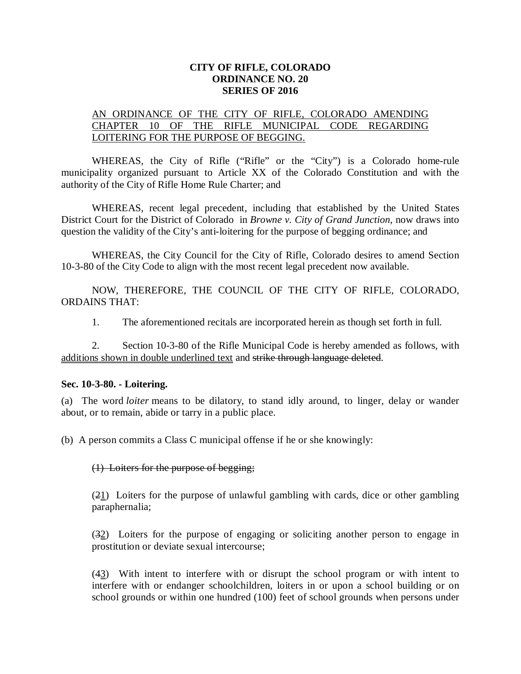## **CITY OF RIFLE, COLORADO ORDINANCE NO. 20 SERIES OF 2016**

## AN ORDINANCE OF THE CITY OF RIFLE, COLORADO AMENDING CHAPTER 10 OF THE RIFLE MUNICIPAL CODE REGARDING LOITERING FOR THE PURPOSE OF BEGGING.

WHEREAS, the City of Rifle ("Rifle" or the "City") is a Colorado home-rule municipality organized pursuant to Article XX of the Colorado Constitution and with the authority of the City of Rifle Home Rule Charter; and

WHEREAS, recent legal precedent, including that established by the United States District Court for the District of Colorado in *Browne v. City of Grand Junction*, now draws into question the validity of the City's anti-loitering for the purpose of begging ordinance; and

WHEREAS, the City Council for the City of Rifle, Colorado desires to amend Section 10-3-80 of the City Code to align with the most recent legal precedent now available.

NOW, THEREFORE, THE COUNCIL OF THE CITY OF RIFLE, COLORADO, ORDAINS THAT:

1. The aforementioned recitals are incorporated herein as though set forth in full.

2. Section 10-3-80 of the Rifle Municipal Code is hereby amended as follows, with additions shown in double underlined text and strike through language deleted.

## **Sec. 10-3-80. - Loitering.**

(a) The word *loiter* means to be dilatory, to stand idly around, to linger, delay or wander about, or to remain, abide or tarry in a public place.

(b) A person commits a Class C municipal offense if he or she knowingly:

## (1) Loiters for the purpose of begging;

(21) Loiters for the purpose of unlawful gambling with cards, dice or other gambling paraphernalia;

(32) Loiters for the purpose of engaging or soliciting another person to engage in prostitution or deviate sexual intercourse;

(43) With intent to interfere with or disrupt the school program or with intent to interfere with or endanger schoolchildren, loiters in or upon a school building or on school grounds or within one hundred (100) feet of school grounds when persons under